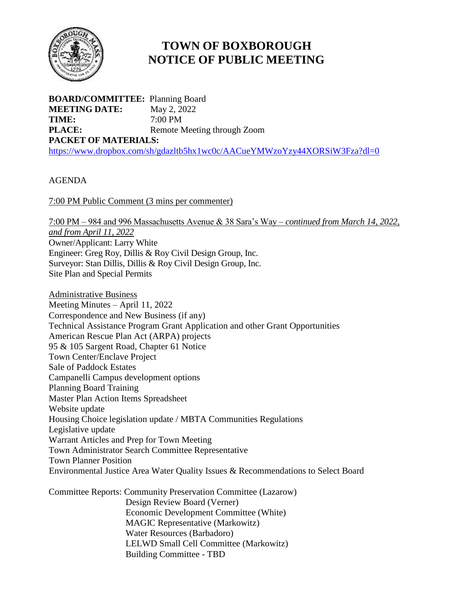

## **TOWN OF BOXBOROUGH NOTICE OF PUBLIC MEETING**

**BOARD/COMMITTEE:** Planning Board **MEETING DATE:** May 2, 2022 **TIME:** 7:00 PM **PLACE:** Remote Meeting through Zoom **PACKET OF MATERIALS:** <https://www.dropbox.com/sh/gdazltb5hx1wc0c/AACueYMWzoYzy44XORSiW3Fza?dl=0>

## AGENDA

7:00 PM Public Comment (3 mins per commenter)

7:00 PM – 984 and 996 Massachusetts Avenue & 38 Sara's Way – *continued from March 14, 2022, and from April 11, 2022* Owner/Applicant: Larry White Engineer: Greg Roy, Dillis & Roy Civil Design Group, Inc. Surveyor: Stan Dillis, Dillis & Roy Civil Design Group, Inc. Site Plan and Special Permits

Administrative Business Meeting Minutes – April 11, 2022 Correspondence and New Business (if any) Technical Assistance Program Grant Application and other Grant Opportunities American Rescue Plan Act (ARPA) projects 95 & 105 Sargent Road, Chapter 61 Notice Town Center/Enclave Project Sale of Paddock Estates Campanelli Campus development options Planning Board Training Master Plan Action Items Spreadsheet Website update Housing Choice legislation update / MBTA Communities Regulations Legislative update Warrant Articles and Prep for Town Meeting Town Administrator Search Committee Representative Town Planner Position Environmental Justice Area Water Quality Issues & Recommendations to Select Board

Committee Reports: Community Preservation Committee (Lazarow) Design Review Board (Verner) Economic Development Committee (White) MAGIC Representative (Markowitz) Water Resources (Barbadoro) LELWD Small Cell Committee (Markowitz) Building Committee - TBD